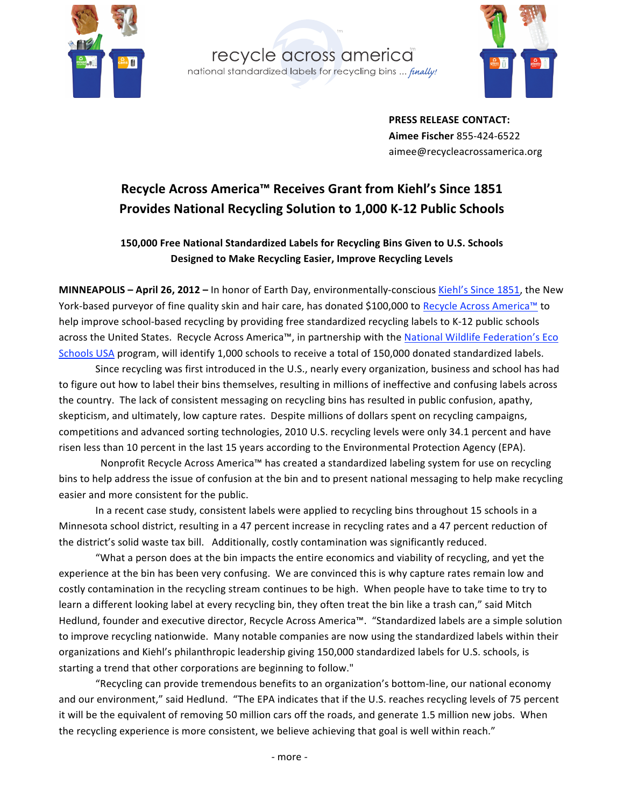





**PRESS
RELEASE CONTACT: Aimee
Fischer** 855‐424‐6522 aimee@recycleacrossamerica.org

## Recycle Across America™ Receives Grant from Kiehl's Since 1851 **Provides
National
Recycling
Solution
to
1,000
K‐12
Public
Schools**

## 150,000 Free National Standardized Labels for Recycling Bins Given to U.S. Schools **Designed
to
Make
Recycling
Easier,
Improve
Recycling
Levels**

MINNEAPOLIS - April 26, 2012 - In honor of Earth Day, environmentally-conscious Kiehl's Since 1851, the New York-based purveyor of fine quality skin and hair care, has donated \$100,000 to Recycle Across America™ to help improve school-based recycling by providing free standardized recycling labels to K-12 public schools across the United States. Recycle Across America™, in partnership with the National Wildlife Federation's Eco Schools USA program, will identify 1,000 schools to receive a total of 150,000 donated standardized labels.

Since recycling was first introduced in the U.S., nearly every organization, business and school has had to figure out how to label their bins themselves, resulting in millions of ineffective and confusing labels across the country. The lack of consistent messaging on recycling bins has resulted in public confusion, apathy, skepticism, and ultimately, low capture rates. Despite millions of dollars spent on recycling campaigns, competitions and advanced sorting technologies, 2010 U.S. recycling levels were only 34.1 percent and have risen less than 10 percent in the last 15 years according to the Environmental Protection Agency (EPA).

Nonprofit Recycle Across America™ has created a standardized labeling system for use on recycling bins
to
help
address
the
issue
of
confusion
at
the
bin
and
to
present
national
messaging
to
help
make
recycling easier
and
more
consistent
for
the
public.

In a recent case study, consistent labels were applied to recycling bins throughout 15 schools in a Minnesota school district, resulting in a 47 percent increase in recycling rates and a 47 percent reduction of the district's solid waste tax bill. Additionally, costly contamination was significantly reduced.

"What a person does at the bin impacts the entire economics and viability of recycling, and yet the experience at the bin has been very confusing. We are convinced this is why capture rates remain low and costly contamination in the recycling stream continues to be high. When people have to take time to try to learn a different looking label at every recycling bin, they often treat the bin like a trash can," said Mitch Hedlund, founder and executive director, Recycle Across America™. "Standardized labels are a simple solution to improve recycling nationwide. Many notable companies are now using the standardized labels within their organizations and Kiehl's philanthropic leadership giving 150,000 standardized labels for U.S. schools, is starting a trend that other corporations are beginning to follow."

"Recycling can provide tremendous benefits to an organization's bottom-line, our national economy and our environment," said Hedlund. "The EPA indicates that if the U.S. reaches recycling levels of 75 percent it will be the equivalent of removing 50 million cars off the roads, and generate 1.5 million new jobs. When the recycling experience is more consistent, we believe achieving that goal is well within reach."